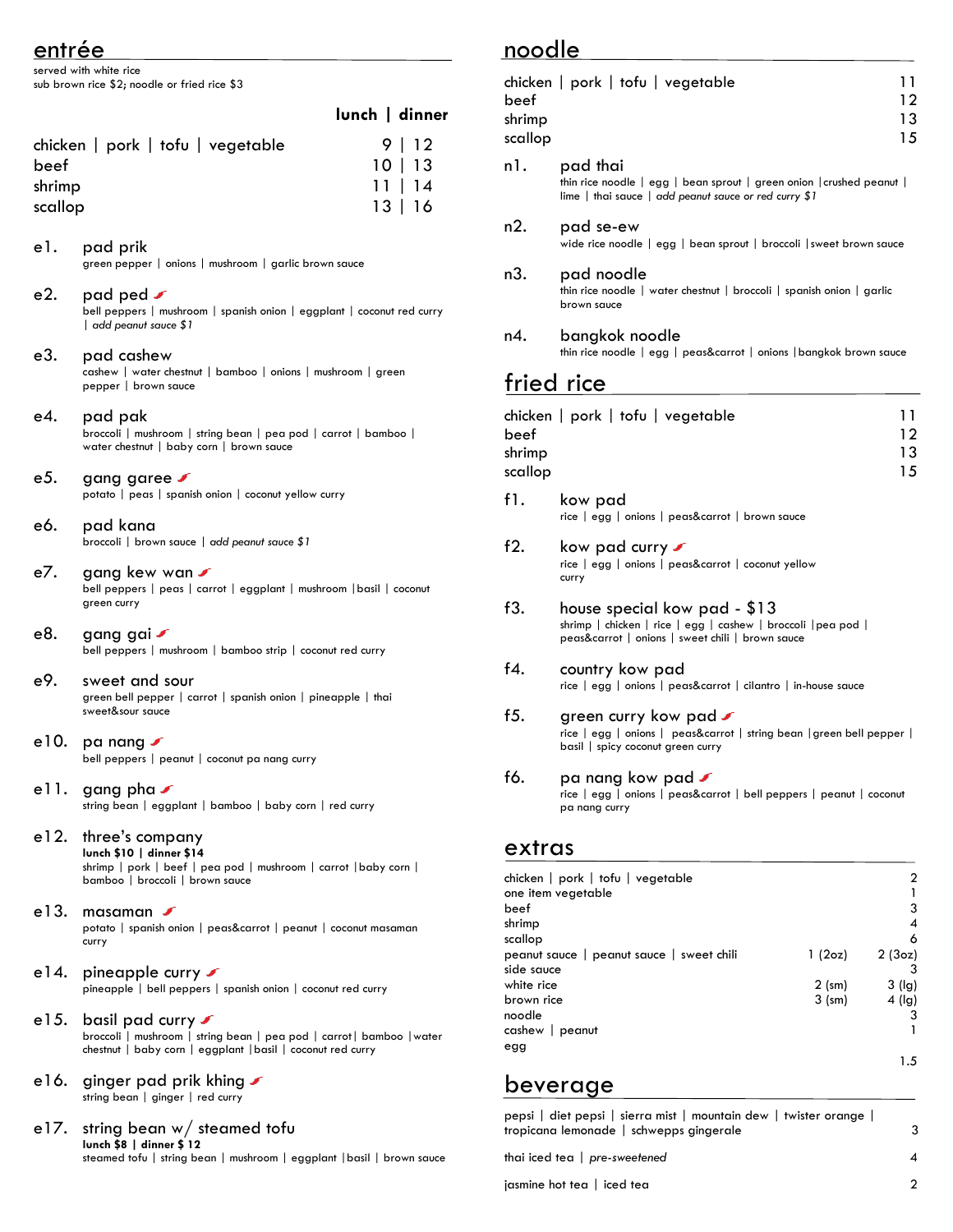# entrée

served with white rice sub brown rice \$2; noodle or fried rice \$3

|                                   | lunch   dinner |
|-----------------------------------|----------------|
| chicken   pork   tofu   vegetable | 9   12         |
| beef                              | 10   13        |
| shrimp                            | 11   14        |
| scallop                           | 13 16          |

- e1. pad prik green pepper | onions | mushroom | garlic brown sauce e2. pad ped  $\sqrt{ }$ bell peppers | mushroom | spanish onion | eggplant | coconut red curry | *add peanut sauce \$1* e3. pad cashew cashew | water chestnut | bamboo | onions | mushroom | green pepper | brown sauce e4. pad pak broccoli | mushroom | string bean | pea pod | carrot | bamboo | water chestnut | baby corn | brown sauce e5. gang garee potato | peas | spanish onion | coconut yellow curry e6. pad kana broccoli | brown sauce | *add peanut sauce \$1* e7. gang kew wan bell peppers | peas | carrot | eggplant | mushroom |basil | coconut
- e8. gang gai
- bell peppers | mushroom | bamboo strip | coconut red curry e9. sweet and sour
	- green bell pepper | carrot | spanish onion | pineapple | thai sweet&sour sauce
- e10. pa nang  $\sqrt{ }$ bell peppers | peanut | coconut pa nang curry

green curry

- ell. gang pha string bean | eggplant | bamboo | baby corn | red curry
- e12. three's company **lunch \$10 | dinner \$14** shrimp | pork | beef | pea pod | mushroom | carrot |baby corn | bamboo | broccoli | brown sauce
- e13. masaman **F** potato | spanish onion | peas&carrot | peanut | coconut masaman curry
- e14. pineapple curry  $\sqrt{s}$ pineapple | bell peppers | spanish onion | coconut red curry
- e15. basil pad curry broccoli | mushroom | string bean | pea pod | carrot| bamboo |water chestnut | baby corn | eggplant |basil | coconut red curry
- e16. ginger pad prik khing string bean | ginger | red curry
- e17. string bean w/ steamed tofu **lunch \$8 | dinner \$ 12** steamed tofu | string bean | mushroom | eggplant |basil | brown sauce

## noodle

| noodle                    |                                                                                                                                                       |                      |
|---------------------------|-------------------------------------------------------------------------------------------------------------------------------------------------------|----------------------|
| beef<br>shrimp<br>scallop | chicken   pork   tofu   vegetable                                                                                                                     | 11<br>12<br>13<br>15 |
| n1.                       | pad thai<br>thin rice noodle $ $ egg $ $ bean sprout $ $ green onion $ $ crushed peanut $ $<br>lime   thai sauce   add peanut sauce or red curry $$1$ |                      |
| n2.                       | pad se-ew<br>wide rice noodle   egg   bean sprout   broccoli   sweet brown sauce                                                                      |                      |
| n3.                       | pad noodle<br>thin rice noodle   water chestnut   broccoli   spanish onion   garlic<br>brown sauce                                                    |                      |
| n4.                       | bangkok noodle<br>thin rice noodle   egg   peas&carrot   onions   bangkok brown sauce                                                                 |                      |
|                           | fried rice                                                                                                                                            |                      |
| beef<br>shrimp<br>scallop | chicken   pork   tofu   vegetable                                                                                                                     | 11<br>12<br>13<br>15 |
| f1.                       | kow pad<br>rice   egg   onions   peas&carrot   brown sauce                                                                                            |                      |
| f2.                       | kow pad curry $\mathcal I$<br>rice   egg   onions   peas&carrot   coconut yellow<br>curry                                                             |                      |
| f3.                       | house special kow pad - \$13                                                                                                                          |                      |

- shrimp | chicken | rice | egg | cashew | broccoli |pea pod | peas&carrot | onions | sweet chili | brown sauce
- f4. country kow pad rice | egg | onions | peas&carrot | cilantro | in-house sauce
- f5. green curry kow pad ✔ rice | egg | onions | peas&carrot | string bean |green bell pepper | basil | spicy coconut green curry

#### f6. pa nang kow pad  $\sqrt{s}$

rice | egg | onions | peas&carrot | bell peppers | peanut | coconut pa nang curry

#### extras

| chicken   pork   tofu   vegetable         |             | 2        |
|-------------------------------------------|-------------|----------|
| one item vegetable                        |             |          |
| beef                                      |             | 3        |
| shrimp                                    |             | 4        |
| scallop                                   |             | 6        |
| peanut sauce   peanut sauce   sweet chili | 1(2oz)      | 2(3oz)   |
| side sauce                                |             | 3        |
| white rice                                | $2$ (sm)    | $3$ (lg) |
| brown rice                                | $3 \, (sm)$ | $4$ (lg) |
| noodle                                    |             | 3        |
| $cashew  $ peanut                         |             |          |
| egg                                       |             |          |
|                                           |             | 1.5      |

## beverage

| pepsi   diet pepsi   sierra mist   mountain dew   twister orange  <br>tropicana lemonade   schwepps gingerale |  |
|---------------------------------------------------------------------------------------------------------------|--|
| thai iced tea   pre-sweetened                                                                                 |  |
| jasmine hot tea   iced tea                                                                                    |  |